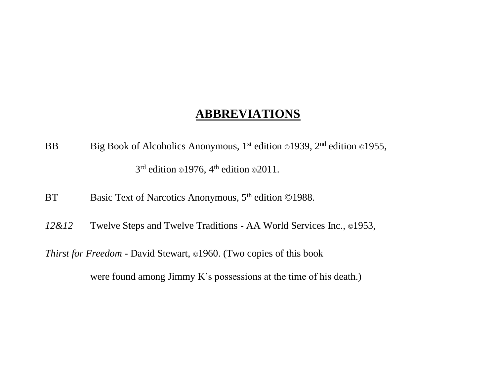#### **ABBREVIATIONS**

- BB Big Book of Alcoholics Anonymous, 1<sup>st</sup> edition ©1939, 2<sup>nd</sup> edition ©1955,  $3<sup>rd</sup>$  edition ©1976, 4<sup>th</sup> edition ©2011.
- BT Basic Text of Narcotics Anonymous, 5<sup>th</sup> edition ©1988.
- 12&12 Twelve Steps and Twelve Traditions AA World Services Inc., ©1953,

*Thirst for Freedom* - David Stewart, ©1960. (Two copies of this book

were found among Jimmy K's possessions at the time of his death.)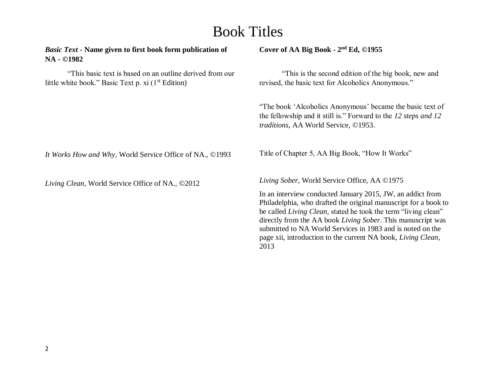### Book Titles

*Basic Text* **- Name given to first book form publication of NA - ©1982** 

"This basic text is based on an outline derived from our little white book." Basic Text p.  $xi(1^{st}$  Edition)

#### **Cover of AA Big Book - 2 nd Ed, ©1955**

"This is the second edition of the big book, new and revised, the basic text for Alcoholics Anonymous."

"The book 'Alcoholics Anonymous' became the basic text of the fellowship and it still is." Forward to the *12 steps and 12 traditions,* AA World Service, ©1953.

*It Works How and Why,* World Service Office of NA., ©1993

*Living Clean,* World Service Office of NA., ©2012

Title of Chapter 5, AA Big Book, "How It Works"

*Living Sober*, World Service Office, AA ©1975

In an interview conducted January 2015, JW, an addict from Philadelphia, who drafted the original manuscript for a book to be called *Living Clean,* stated he took the term "living clean" directly from the AA book *Living Sober*. This manuscript was submitted to NA World Services in 1983 and is noted on the page xii, introduction to the current NA book, *Living Clean,*  2013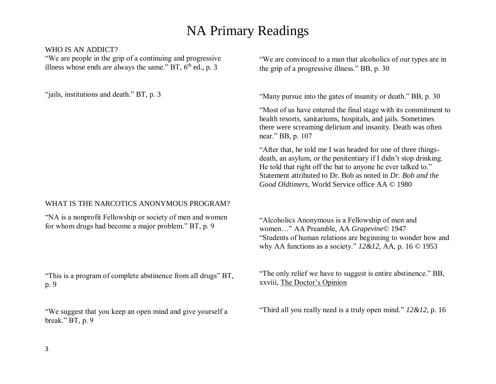#### WHO IS AN ADDICT?

"We are people in the grip of a continuing and progressive illness whose ends are always the same." BT,  $6<sup>th</sup>$  ed., p. 3

"jails, institutions and death." BT, p. 3

#### WHAT IS THE NARCOTICS ANONYMOUS PROGRAM?

"NA is a nonprofit Fellowship or society of men and women for whom drugs had become a major problem." BT, p. 9

"This is a program of complete abstinence from all drugs" BT, p. 9

"We suggest that you keep an open mind and give yourself a break." BT, p. 9

"We are convinced to a man that alcoholics of our types are in the grip of a progressive illness." BB, p. 30

"Many pursue into the gates of insanity or death." BB, p. 30

"Most of us have entered the final stage with its commitment to health resorts, sanitariums, hospitals, and jails. Sometimes there were screaming delirium and insanity. Death was often near." BB, p. 107

"After that, he told me I was headed for one of three thingsdeath, an asylum, or the penitentiary if I didn't stop drinking. He told that right off the bat to anyone he ever talked to." Statement attributed to Dr. Bob as noted in *Dr. Bob and the Good Oldtimers,* World Service office AA © 1980

"Alcoholics Anonymous is a Fellowship of men and women…" AA Preamble, AA *Grapevine*© 1947 "Students of human relations are beginning to wonder how and why AA functions as a society." *12&12*, AA, p. 16 © 1953

"The only relief we have to suggest is entire abstinence." BB, xxviii, The Doctor's Opinion

"Third all you really need is a truly open mind." *12&12*, p. 16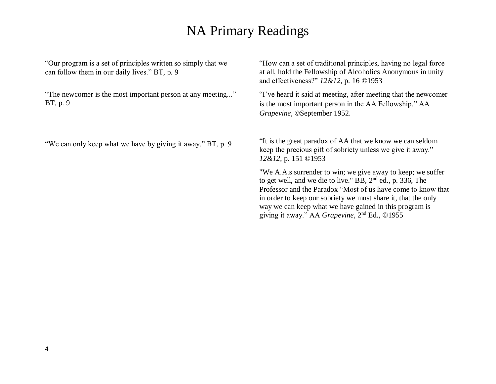"Our program is a set of principles written so simply that we can follow them in our daily lives." BT, p. 9

"The newcomer is the most important person at any meeting..." BT, p. 9

"We can only keep what we have by giving it away." BT, p. 9

"How can a set of traditional principles, having no legal force at all, hold the Fellowship of Alcoholics Anonymous in unity and effectiveness?" *12&12*, p. 16 ©1953

"I've heard it said at meeting, after meeting that the newcomer is the most important person in the AA Fellowship." AA *Grapevine*, ©September 1952.

"It is the great paradox of AA that we know we can seldom keep the precious gift of sobriety unless we give it away." *12&12,* p. 151 ©1953

"We A.A.s surrender to win; we give away to keep; we suffer to get well, and we die to live." BB,  $2<sup>nd</sup>$  ed., p. 336, The Professor and the Paradox "Most of us have come to know that in order to keep our sobriety we must share it, that the only way we can keep what we have gained in this program is giving it away." AA *Grapevine*, 2<sup>nd</sup> Ed., ©1955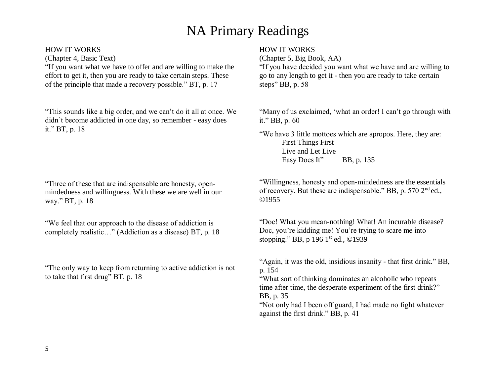#### HOW IT WORKS

(Chapter 4, Basic Text)

"If you want what we have to offer and are willing to make the effort to get it, then you are ready to take certain steps. These of the principle that made a recovery possible." BT, p. 17

"This sounds like a big order, and we can't do it all at once. We didn't become addicted in one day, so remember - easy does it." BT, p. 18

"Three of these that are indispensable are honesty, openmindedness and willingness. With these we are well in our way." BT, p. 18

"We feel that our approach to the disease of addiction is completely realistic…" (Addiction as a disease) BT, p. 18

"The only way to keep from returning to active addiction is not to take that first drug" BT, p. 18

#### HOW IT WORKS

(Chapter 5, Big Book, AA)

"If you have decided you want what we have and are willing to go to any length to get it - then you are ready to take certain steps" BB, p. 58

"Many of us exclaimed, 'what an order! I can't go through with it." BB, p. 60

"We have 3 little mottoes which are apropos. Here, they are: First Things First Live and Let Live Easy Does It" BB, p. 135

"Willingness, honesty and open-mindedness are the essentials of recovery. But these are indispensable." BB, p. 570  $2<sup>nd</sup>$ ed., ©1955

"Doc! What you mean-nothing! What! An incurable disease? Doc, you're kidding me! You're trying to scare me into stopping." BB, p 196 1<sup>st</sup> ed., ©1939

"Again, it was the old, insidious insanity - that first drink." BB, p. 154

"What sort of thinking dominates an alcoholic who repeats time after time, the desperate experiment of the first drink?" BB, p. 35

"Not only had I been off guard, I had made no fight whatever against the first drink." BB, p. 41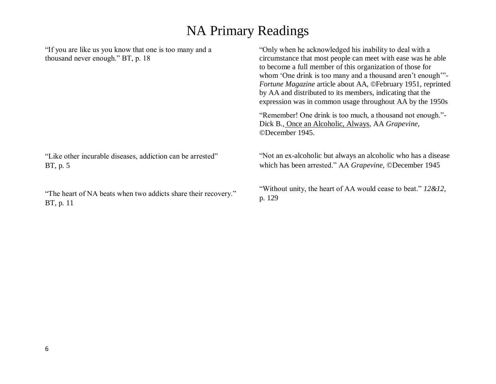"If you are like us you know that one is too many and a thousand never enough." BT, p. 18 "Like other incurable diseases, addiction can be arrested" BT, p. 5 "The heart of NA beats when two addicts share their recovery." BT, p. 11 "Only when he acknowledged his inability to deal with a circumstance that most people can meet with ease was he able to become a full member of this organization of those for whom 'One drink is too many and a thousand aren't enough'"-*Fortune Magazine* article about AA, ©February 1951, reprinted by AA and distributed to its members, indicating that the expression was in common usage throughout AA by the 1950s "Remember! One drink is too much, a thousand not enough."- Dick B., Once an Alcoholic, Always, AA *Grapevine,* ©December 1945. "Not an ex-alcoholic but always an alcoholic who has a disease which has been arrested." AA *Grapevine*, ©December 1945 "Without unity, the heart of AA would cease to beat." *12&12,* p. 129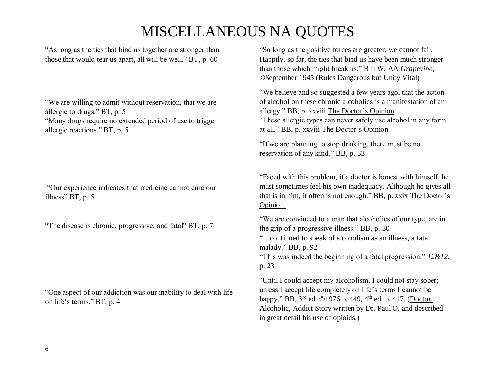"As long as the ties that bind us together are stronger than those that would tear us apart, all will be well." BT, p. 60

"We are willing to admit without reservation, that we are allergic to drugs." BT, p. 5

"Many drugs require no extended period of use to trigger allergic reactions." BT, p. 5

"Our experience indicates that medicine cannot cure our illness" BT, p. 5

"The disease is chronic, progressive, and fatal" BT, p. 7

"One aspect of our addiction was our inability to deal with life on life's terms." BT, p. 4

"So long as the positive forces are greater, we cannot fail. Happily, so far, the ties that bind us have been much stronger than those which might break us." Bill W, AA *Grapevine*, ©September 1945 (Rules Dangerous but Unity Vital)

"We believe and so suggested a few years ago, that the action of alcohol on these chronic alcoholics is a manifestation of an allergy." BB, p. xxviii The Doctor's Opinion "These allergic types can never safely use alcohol in any form at all." BB, p. xxviii The Doctor's Opinion

"If we are planning to stop drinking, there must be no reservation of any kind." BB, p. 33

"Faced with this problem, if a doctor is honest with himself, he must sometimes feel his own inadequacy. Although he gives all that is in him, it often is not enough." BB, p. xxix The Doctor's Opinion.

"We are convinced to a man that alcoholics of our type, are in the grip of a progressive illness." BB, p. 30 "…continued to speak of alcoholism as an illness, a fatal malady." BB, p. 92 "This was indeed the beginning of a fatal progression." *12&12,* p. 23 "Until I could accept my alcoholism, I could not stay sober;

unless I accept life completely on life's terms I cannot be happy." BB, 3<sup>rd</sup> ed. ©1976 p. 449, 4<sup>th</sup> ed. p. 417. (Doctor, Alcoholic, Addict Story written by Dr. Paul O. and described in great detail his use of opioids.)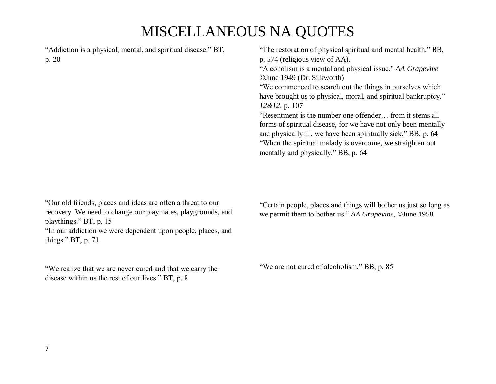"Addiction is a physical, mental, and spiritual disease." BT, p. 20

"Our old friends, places and ideas are often a threat to our recovery. We need to change our playmates, playgrounds, and playthings." BT, p. 15 "In our addiction we were dependent upon people, places, and things." BT, p. 71

"We realize that we are never cured and that we carry the disease within us the rest of our lives." BT, p. 8

"The restoration of physical spiritual and mental health." BB, p. 574 (religious view of AA).

"Alcoholism is a mental and physical issue." *AA Grapevine* ©June 1949 (Dr. Silkworth)

"We commenced to search out the things in ourselves which have brought us to physical, moral, and spiritual bankruptcy." *12&12,* p. 107

"Resentment is the number one offender… from it stems all forms of spiritual disease, for we have not only been mentally and physically ill, we have been spiritually sick." BB, p. 64 "When the spiritual malady is overcome, we straighten out mentally and physically." BB, p. 64

"Certain people, places and things will bother us just so long as we permit them to bother us." *AA Grapevine,* ©June 1958

"We are not cured of alcoholism." BB, p. 85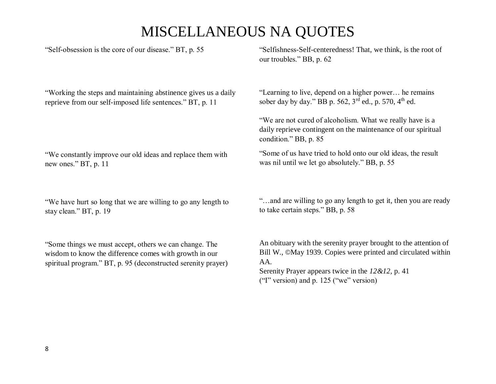"Self-obsession is the core of our disease." BT, p. 55

"Working the steps and maintaining abstinence gives us a daily reprieve from our self-imposed life sentences." BT, p. 11

"We constantly improve our old ideas and replace them with new ones." BT, p. 11

"We have hurt so long that we are willing to go any length to stay clean." BT, p. 19

"Some things we must accept, others we can change. The wisdom to know the difference comes with growth in our spiritual program." BT, p. 95 (deconstructed serenity prayer)

"Selfishness-Self-centeredness! That, we think, is the root of our troubles." BB, p. 62

"Learning to live, depend on a higher power… he remains sober day by day." BB p. 562,  $3^{rd}$  ed., p. 570,  $4^{th}$  ed.

"We are not cured of alcoholism. What we really have is a daily reprieve contingent on the maintenance of our spiritual condition." BB, p. 85

"Some of us have tried to hold onto our old ideas, the result was nil until we let go absolutely." BB, p. 55

"…and are willing to go any length to get it, then you are ready to take certain steps." BB, p. 58

An obituary with the serenity prayer brought to the attention of Bill W., ©May 1939. Copies were printed and circulated within AA.

Serenity Prayer appears twice in the *12&12,* p. 41 ("I" version) and p. 125 ("we" version)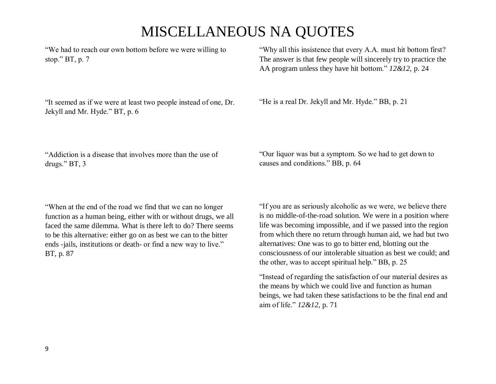"We had to reach our own bottom before we were willing to stop." BT, p. 7

"It seemed as if we were at least two people instead of one, Dr. Jekyll and Mr. Hyde." BT, p. 6

"Why all this insistence that every A.A. must hit bottom first? The answer is that few people will sincerely try to practice the AA program unless they have hit bottom." *12&12*, p. 24

"He is a real Dr. Jekyll and Mr. Hyde." BB, p. 21

"Addiction is a disease that involves more than the use of drugs." BT, 3

"When at the end of the road we find that we can no longer function as a human being, either with or without drugs, we all faced the same dilemma. What is there left to do? There seems to be this alternative: either go on as best we can to the bitter ends -jails, institutions or death- or find a new way to live." BT, p. 87

"Our liquor was but a symptom. So we had to get down to causes and conditions." BB, p. 64

"If you are as seriously alcoholic as we were, we believe there is no middle-of-the-road solution. We were in a position where life was becoming impossible, and if we passed into the region from which there no return through human aid, we had but two alternatives: One was to go to bitter end, blotting out the consciousness of our intolerable situation as best we could; and the other, was to accept spiritual help." BB, p. 25

"Instead of regarding the satisfaction of our material desires as the means by which we could live and function as human beings, we had taken these satisfactions to be the final end and aim of life." *12&12,* p. 71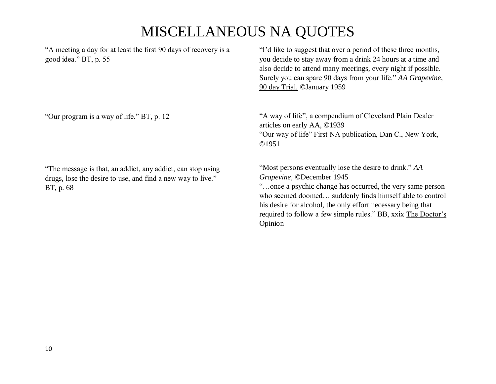"A meeting a day for at least the first 90 days of recovery is a good idea." BT, p. 55

"I'd like to suggest that over a period of these three months, you decide to stay away from a drink 24 hours at a time and also decide to attend many meetings, every night if possible. Surely you can spare 90 days from your life." *AA Grapevine,* 90 day Trial, ©January 1959

"Our program is a way of life." BT, p. 12

"The message is that, an addict, any addict, can stop using drugs, lose the desire to use, and find a new way to live." BT, p. 68

"A way of life", a compendium of Cleveland Plain Dealer articles on early AA, ©1939 "Our way of life" First NA publication, Dan C., New York, ©1951

"Most persons eventually lose the desire to drink." *AA Grapevine,* ©December 1945 "…once a psychic change has occurred, the very same person who seemed doomed… suddenly finds himself able to control his desire for alcohol, the only effort necessary being that required to follow a few simple rules." BB, xxix The Doctor's Opinion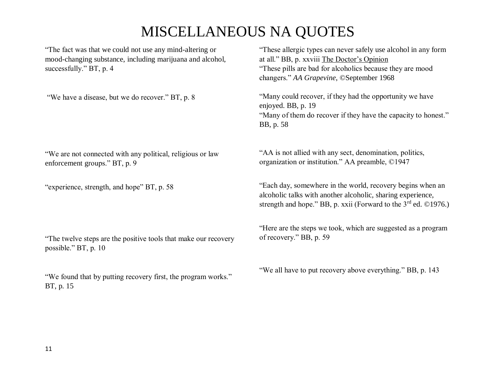"The fact was that we could not use any mind-altering or mood-changing substance, including marijuana and alcohol, successfully." BT, p. 4

"We have a disease, but we do recover." BT, p. 8

"We are not connected with any political, religious or law enforcement groups." BT, p. 9

"experience, strength, and hope" BT, p. 58

"The twelve steps are the positive tools that make our recovery possible." BT, p. 10

"We found that by putting recovery first, the program works." BT, p. 15

"These allergic types can never safely use alcohol in any form at all." BB, p. xxviii The Doctor's Opinion "These pills are bad for alcoholics because they are mood changers." *AA Grapevine*, ©September 1968

"Many could recover, if they had the opportunity we have enjoyed. BB, p. 19 "Many of them do recover if they have the capacity to honest." BB, p. 58

"AA is not allied with any sect, denomination, politics, organization or institution." AA preamble, ©1947

"Each day, somewhere in the world, recovery begins when an alcoholic talks with another alcoholic, sharing experience, strength and hope." BB, p. xxii (Forward to the  $3<sup>rd</sup>$  ed. ©1976.)

"Here are the steps we took, which are suggested as a program of recovery." BB, p. 59

"We all have to put recovery above everything." BB, p. 143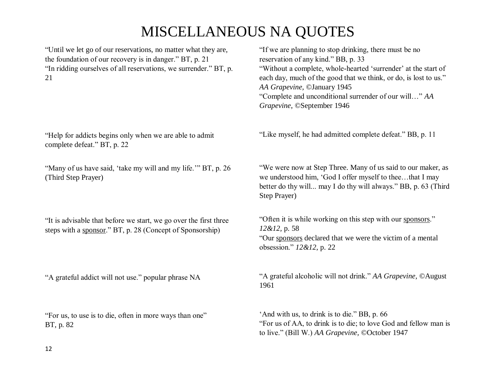"Until we let go of our reservations, no matter what they are, the foundation of our recovery is in danger." BT, p. 21 "In ridding ourselves of all reservations, we surrender." BT, p. 21

"Help for addicts begins only when we are able to admit complete defeat." BT, p. 22

"Many of us have said, 'take my will and my life."" BT, p. 26 (Third Step Prayer)

"It is advisable that before we start, we go over the first three steps with a sponsor." BT, p. 28 (Concept of Sponsorship)

"A grateful addict will not use." popular phrase NA

"For us, to use is to die, often in more ways than one" BT, p. 82

"If we are planning to stop drinking, there must be no reservation of any kind." BB, p. 33 "Without a complete, whole-hearted 'surrender' at the start of each day, much of the good that we think, or do, is lost to us." *AA Grapevine,* ©January 1945 "Complete and unconditional surrender of our will…" *AA Grapevine*, ©September 1946

"Like myself, he had admitted complete defeat." BB, p. 11

"We were now at Step Three. Many of us said to our maker, as we understood him, 'God I offer myself to thee…that I may better do thy will... may I do thy will always." BB, p. 63 (Third Step Prayer)

"Often it is while working on this step with our sponsors." *12&12,* p. 58 "Our sponsors declared that we were the victim of a mental obsession." *12&12*, p. 22

"A grateful alcoholic will not drink." *AA Grapevine,* ©August 1961

'And with us, to drink is to die." BB, p. 66 "For us of AA, to drink is to die; to love God and fellow man is to live." (Bill W.) *AA Grapevine,* ©October 1947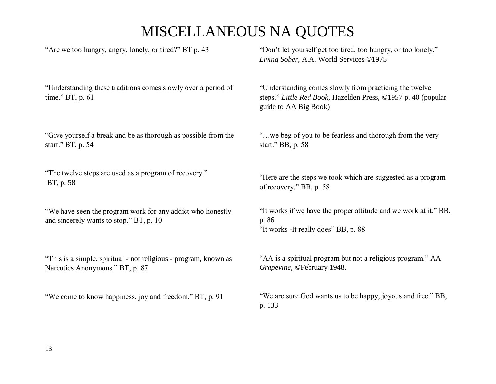| "Are we too hungry, angry, lonely, or tired?" BT p. 43                                                | "Don't let yourself get too tired, too hungry, or too lonely,"<br>Living Sober, A.A. World Services ©1975                                        |
|-------------------------------------------------------------------------------------------------------|--------------------------------------------------------------------------------------------------------------------------------------------------|
| "Understanding these traditions comes slowly over a period of<br>time." BT, p. 61                     | "Understanding comes slowly from practicing the twelve<br>steps." Little Red Book, Hazelden Press, ©1957 p. 40 (popular<br>guide to AA Big Book) |
| "Give yourself a break and be as thorough as possible from the                                        | " we beg of you to be fearless and thorough from the very                                                                                        |
| start." BT, p. 54                                                                                     | start." BB, p. 58                                                                                                                                |
| "The twelve steps are used as a program of recovery."                                                 | "Here are the steps we took which are suggested as a program                                                                                     |
| BT, p. 58                                                                                             | of recovery." BB, p. 58                                                                                                                          |
| "We have seen the program work for any addict who honestly<br>and sincerely wants to stop." BT, p. 10 | "It works if we have the proper attitude and we work at it." BB,<br>p. 86<br>"It works -It really does" BB, p. 88                                |
| "This is a simple, spiritual - not religious - program, known as                                      | "AA is a spiritual program but not a religious program." AA                                                                                      |
| Narcotics Anonymous." BT, p. 87                                                                       | Grapevine, ©February 1948.                                                                                                                       |

"We come to know happiness, joy and freedom." BT, p. 91

"We are sure God wants us to be happy, joyous and free." BB, p. 133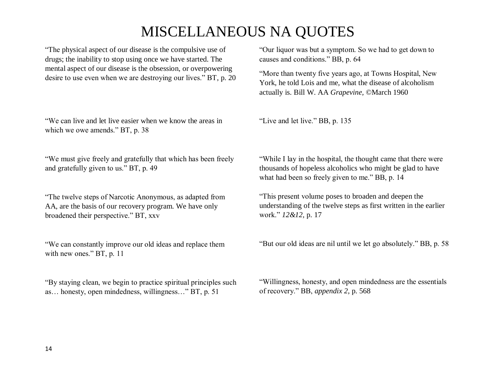"The physical aspect of our disease is the compulsive use of drugs; the inability to stop using once we have started. The mental aspect of our disease is the obsession, or overpowering desire to use even when we are destroying our lives." BT, p. 20

"We can live and let live easier when we know the areas in which we owe amends." BT, p. 38

"We must give freely and gratefully that which has been freely and gratefully given to us." BT, p. 49

"The twelve steps of Narcotic Anonymous, as adapted from AA, are the basis of our recovery program. We have only broadened their perspective." BT, xxv

"We can constantly improve our old ideas and replace them with new ones." BT, p. 11

"By staying clean, we begin to practice spiritual principles such as… honesty, open mindedness, willingness…" BT, p. 51

"Our liquor was but a symptom. So we had to get down to causes and conditions." BB, p. 64

"More than twenty five years ago, at Towns Hospital, New York, he told Lois and me, what the disease of alcoholism actually is. Bill W. AA *Grapevine,* ©March 1960

"Live and let live." BB, p. 135

"While I lay in the hospital, the thought came that there were thousands of hopeless alcoholics who might be glad to have what had been so freely given to me." BB, p. 14

"This present volume poses to broaden and deepen the understanding of the twelve steps as first written in the earlier work." *12&12,* p. 17

"But our old ideas are nil until we let go absolutely." BB, p. 58

"Willingness, honesty, and open mindedness are the essentials of recovery." BB, *appendix 2*, p. 568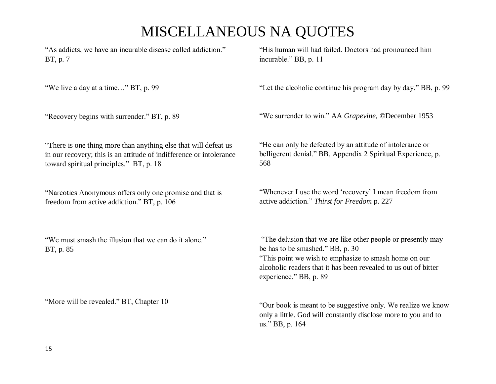"As addicts, we have an incurable disease called addiction." BT, p. 7

"We live a day at a time…" BT, p. 99

"Recovery begins with surrender." BT, p. 89

"His human will had failed. Doctors had pronounced him incurable." BB, p. 11

"Let the alcoholic continue his program day by day." BB, p. 99

"We surrender to win." AA *Grapevine,* ©December 1953

"There is one thing more than anything else that will defeat us in our recovery; this is an attitude of indifference or intolerance toward spiritual principles." BT, p. 18

"Narcotics Anonymous offers only one promise and that is freedom from active addiction." BT, p. 106

"We must smash the illusion that we can do it alone." BT, p. 85

"More will be revealed." BT, Chapter 10

"He can only be defeated by an attitude of intolerance or belligerent denial." BB, Appendix 2 Spiritual Experience, p. 568

"Whenever I use the word 'recovery' I mean freedom from active addiction." *Thirst for Freedom* p. 227

"The delusion that we are like other people or presently may be has to be smashed." BB, p. 30 "This point we wish to emphasize to smash home on our alcoholic readers that it has been revealed to us out of bitter experience." BB, p. 89

"Our book is meant to be suggestive only. We realize we know only a little. God will constantly disclose more to you and to us." BB, p. 164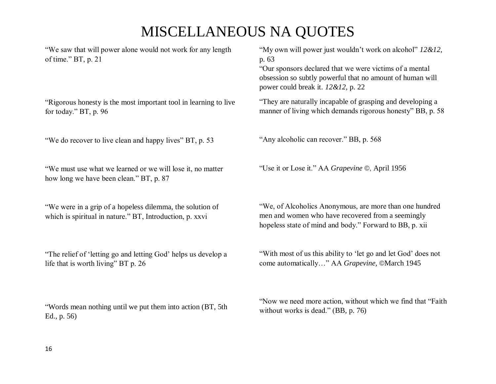"We saw that will power alone would not work for any length of time." BT, p. 21

"Rigorous honesty is the most important tool in learning to live for today." BT, p. 96

"We do recover to live clean and happy lives" BT, p. 53

"We must use what we learned or we will lose it, no matter how long we have been clean." BT, p. 87

"We were in a grip of a hopeless dilemma, the solution of which is spiritual in nature." BT, Introduction, p. xxvi

"The relief of 'letting go and letting God' helps us develop a life that is worth living" BT p. 26

"Words mean nothing until we put them into action (BT, 5th Ed., p. 56)

"My own will power just wouldn't work on alcohol" *12&12,*  p. 63

"Our sponsors declared that we were victims of a mental obsession so subtly powerful that no amount of human will power could break it. *12&12,* p. 22

"They are naturally incapable of grasping and developing a manner of living which demands rigorous honesty" BB, p. 58

"Any alcoholic can recover." BB, p. 568

"Use it or Lose it." AA *Grapevine* ©, April 1956

"We, of Alcoholics Anonymous, are more than one hundred men and women who have recovered from a seemingly hopeless state of mind and body." Forward to BB, p. xii

"With most of us this ability to 'let go and let God' does not come automatically…" AA *Grapevine,* ©March 1945

"Now we need more action, without which we find that "Faith without works is dead." (BB, p. 76)